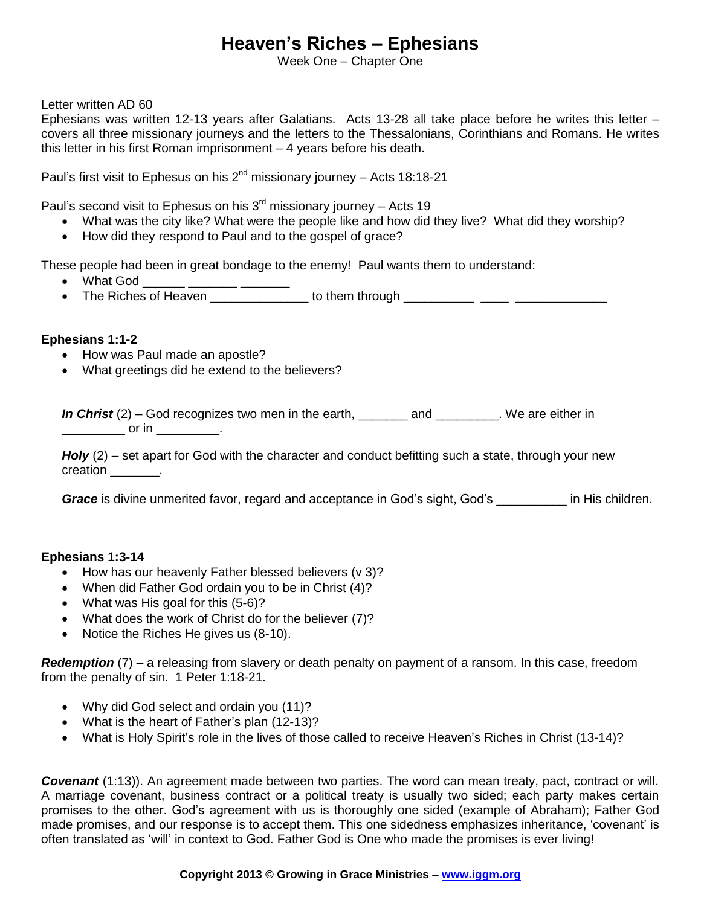# **Heaven's Riches – Ephesians**

Week One – Chapter One

Letter written AD 60

Ephesians was written 12-13 years after Galatians. Acts 13-28 all take place before he writes this letter – covers all three missionary journeys and the letters to the Thessalonians, Corinthians and Romans. He writes this letter in his first Roman imprisonment – 4 years before his death.

Paul's first visit to Ephesus on his  $2^{nd}$  missionary journey - Acts 18:18-21

Paul's second visit to Ephesus on his  $3<sup>rd</sup>$  missionary journey – Acts 19

- What was the city like? What were the people like and how did they live? What did they worship?
- How did they respond to Paul and to the gospel of grace?

These people had been in great bondage to the enemy! Paul wants them to understand:

- $\bullet$  What God  $\_\_\_\_\_\_\_\_\_\_$
- The Riches of Heaven to them through the metal contract the Riches of Heaven

#### **Ephesians 1:1-2**

- How was Paul made an apostle?
- What greetings did he extend to the believers?

*In Christ* (2) – God recognizes two men in the earth, \_\_\_\_\_\_\_ and \_\_\_\_\_\_\_\_. We are either in \_\_\_\_\_\_\_\_\_\_\_\_\_ or in \_\_\_\_\_\_\_\_\_\_\_\_.

*Holy* (2) – set apart for God with the character and conduct befitting such a state, through your new creation \_\_\_\_\_\_\_\_\_.

**Grace** is divine unmerited favor, regard and acceptance in God's sight, God's \_\_\_\_\_\_\_\_\_\_\_\_\_\_ in His children.

#### **Ephesians 1:3-14**

- How has our heavenly Father blessed believers (v 3)?
- When did Father God ordain you to be in Christ (4)?
- What was His goal for this (5-6)?
- What does the work of Christ do for the believer (7)?
- Notice the Riches He gives us (8-10).

*Redemption* (7) – a releasing from slavery or death penalty on payment of a ransom. In this case, freedom from the penalty of sin. 1 Peter 1:18-21.

- Why did God select and ordain you (11)?
- What is the heart of Father's plan (12-13)?
- What is Holy Spirit's role in the lives of those called to receive Heaven's Riches in Christ (13-14)?

*Covenant* (1:13)). An agreement made between two parties. The word can mean treaty, pact, contract or will. A marriage covenant, business contract or a political treaty is usually two sided; each party makes certain promises to the other. God's agreement with us is thoroughly one sided (example of Abraham); Father God made promises, and our response is to accept them. This one sidedness emphasizes inheritance, 'covenant' is often translated as 'will' in context to God. Father God is One who made the promises is ever living!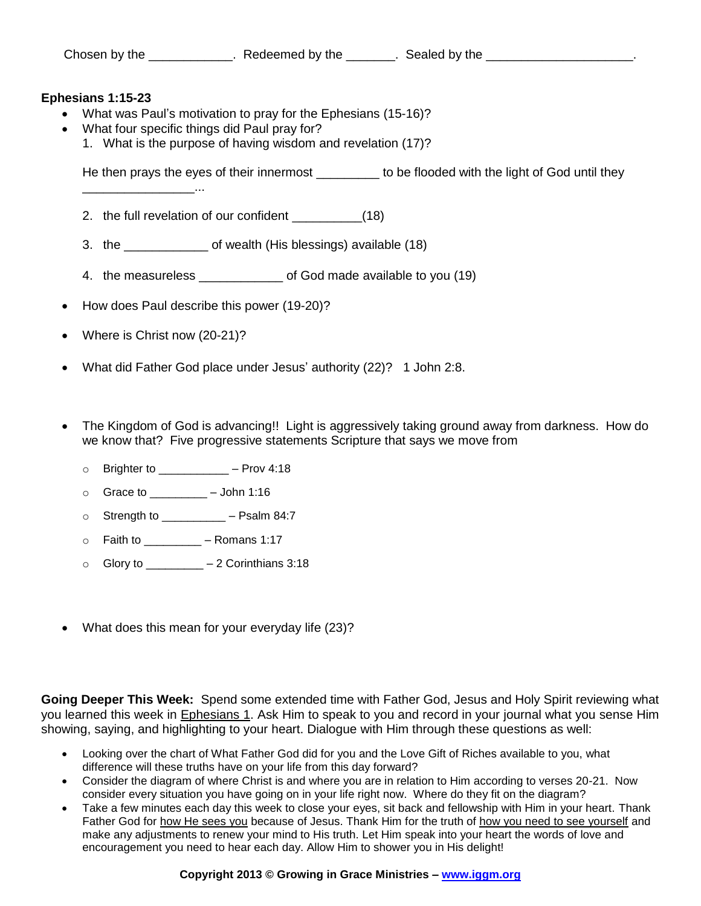### **Ephesians 1:15-23**

- What was Paul's motivation to pray for the Ephesians (15-16)?
- What four specific things did Paul pray for?
	- 1. What is the purpose of having wisdom and revelation (17)?

He then prays the eyes of their innermost \_\_\_\_\_\_\_\_\_ to be flooded with the light of God until they

- 2. the full revelation of our confident (18)
- 3. the \_\_\_\_\_\_\_\_\_\_\_\_ of wealth (His blessings) available (18)
- 4. the measureless \_\_\_\_\_\_\_\_\_\_\_\_ of God made available to you (19)
- How does Paul describe this power (19-20)?
- Where is Christ now (20-21)?

\_\_\_\_\_\_\_\_\_\_\_\_\_\_\_\_...

- What did Father God place under Jesus' authority (22)? 1 John 2:8.
- The Kingdom of God is advancing!! Light is aggressively taking ground away from darkness. How do we know that? Five progressive statements Scripture that says we move from
	- $\circ$  Brighter to  $-$  Prov 4:18
	- $\circ$  Grace to  $-$  John 1:16
	- $\circ$  Strength to  $-$  Psalm 84:7
	- $\circ$  Faith to \_\_\_\_\_\_\_\_\_ Romans 1:17
	- $\circ$  Glory to  $-2$  Corinthians 3:18
- What does this mean for your everyday life (23)?

**Going Deeper This Week:** Spend some extended time with Father God, Jesus and Holy Spirit reviewing what you learned this week in Ephesians 1. Ask Him to speak to you and record in your journal what you sense Him showing, saying, and highlighting to your heart. Dialogue with Him through these questions as well:

- Looking over the chart of What Father God did for you and the Love Gift of Riches available to you, what difference will these truths have on your life from this day forward?
- Consider the diagram of where Christ is and where you are in relation to Him according to verses 20-21. Now consider every situation you have going on in your life right now. Where do they fit on the diagram?
- Take a few minutes each day this week to close your eyes, sit back and fellowship with Him in your heart. Thank Father God for how He sees you because of Jesus. Thank Him for the truth of how you need to see yourself and make any adjustments to renew your mind to His truth. Let Him speak into your heart the words of love and encouragement you need to hear each day. Allow Him to shower you in His delight!